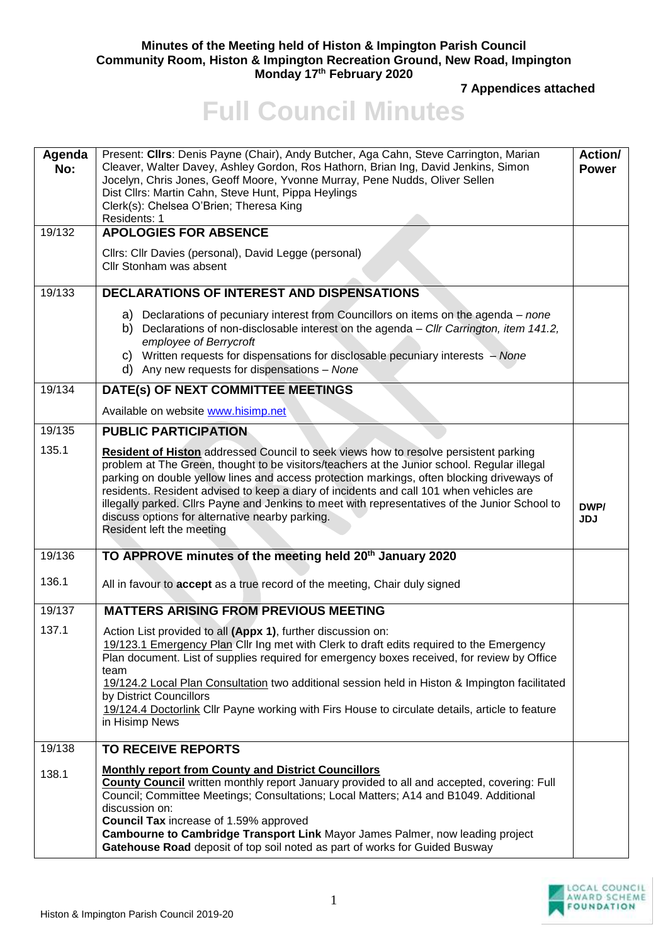## **Minutes of the Meeting held of Histon & Impington Parish Council Community Room, Histon & Impington Recreation Ground, New Road, Impington Monday 17th February 2020**

**7 Appendices attached**

## **Full Council Minutes**

| Agenda<br>No: | Present: Cllrs: Denis Payne (Chair), Andy Butcher, Aga Cahn, Steve Carrington, Marian<br>Cleaver, Walter Davey, Ashley Gordon, Ros Hathorn, Brian Ing, David Jenkins, Simon<br>Jocelyn, Chris Jones, Geoff Moore, Yvonne Murray, Pene Nudds, Oliver Sellen<br>Dist Cllrs: Martin Cahn, Steve Hunt, Pippa Heylings<br>Clerk(s): Chelsea O'Brien; Theresa King<br>Residents: 1                                                                                                                                                                                          | <b>Action/</b><br><b>Power</b> |
|---------------|-----------------------------------------------------------------------------------------------------------------------------------------------------------------------------------------------------------------------------------------------------------------------------------------------------------------------------------------------------------------------------------------------------------------------------------------------------------------------------------------------------------------------------------------------------------------------|--------------------------------|
| 19/132        | <b>APOLOGIES FOR ABSENCE</b>                                                                                                                                                                                                                                                                                                                                                                                                                                                                                                                                          |                                |
|               | Cllrs: Cllr Davies (personal), David Legge (personal)<br>Cllr Stonham was absent                                                                                                                                                                                                                                                                                                                                                                                                                                                                                      |                                |
| 19/133        | DECLARATIONS OF INTEREST AND DISPENSATIONS                                                                                                                                                                                                                                                                                                                                                                                                                                                                                                                            |                                |
|               | a) Declarations of pecuniary interest from Councillors on items on the agenda $-$ none<br>Declarations of non-disclosable interest on the agenda - Cllr Carrington, item 141.2,<br>b)<br>employee of Berrycroft<br>c) Written requests for dispensations for disclosable pecuniary interests - None<br>d) Any new requests for dispensations - None                                                                                                                                                                                                                   |                                |
| 19/134        | DATE(s) OF NEXT COMMITTEE MEETINGS                                                                                                                                                                                                                                                                                                                                                                                                                                                                                                                                    |                                |
|               | Available on website www.hisimp.net                                                                                                                                                                                                                                                                                                                                                                                                                                                                                                                                   |                                |
| 19/135        | <b>PUBLIC PARTICIPATION</b>                                                                                                                                                                                                                                                                                                                                                                                                                                                                                                                                           |                                |
| 135.1         | <b>Resident of Histon</b> addressed Council to seek views how to resolve persistent parking<br>problem at The Green, thought to be visitors/teachers at the Junior school. Regular illegal<br>parking on double yellow lines and access protection markings, often blocking driveways of<br>residents. Resident advised to keep a diary of incidents and call 101 when vehicles are<br>illegally parked. Cllrs Payne and Jenkins to meet with representatives of the Junior School to<br>discuss options for alternative nearby parking.<br>Resident left the meeting | DWP/<br><b>JDJ</b>             |
| 19/136        | TO APPROVE minutes of the meeting held 20 <sup>th</sup> January 2020                                                                                                                                                                                                                                                                                                                                                                                                                                                                                                  |                                |
| 136.1         | All in favour to <b>accept</b> as a true record of the meeting, Chair duly signed                                                                                                                                                                                                                                                                                                                                                                                                                                                                                     |                                |
| 19/137        | <b>MATTERS ARISING FROM PREVIOUS MEETING</b>                                                                                                                                                                                                                                                                                                                                                                                                                                                                                                                          |                                |
| 137.1         | Action List provided to all (Appx 1), further discussion on:<br>19/123.1 Emergency Plan Cllr Ing met with Clerk to draft edits required to the Emergency<br>Plan document. List of supplies required for emergency boxes received, for review by Office<br>team<br>19/124.2 Local Plan Consultation two additional session held in Histon & Impington facilitated<br>by District Councillors<br>19/124.4 Doctorlink Cllr Payne working with Firs House to circulate details, article to feature<br>in Hisimp News                                                     |                                |
| 19/138        | <b>TO RECEIVE REPORTS</b>                                                                                                                                                                                                                                                                                                                                                                                                                                                                                                                                             |                                |
| 138.1         | <b>Monthly report from County and District Councillors</b><br>County Council written monthly report January provided to all and accepted, covering: Full<br>Council; Committee Meetings; Consultations; Local Matters; A14 and B1049. Additional<br>discussion on:<br>Council Tax increase of 1.59% approved<br>Cambourne to Cambridge Transport Link Mayor James Palmer, now leading project<br>Gatehouse Road deposit of top soil noted as part of works for Guided Busway                                                                                          |                                |

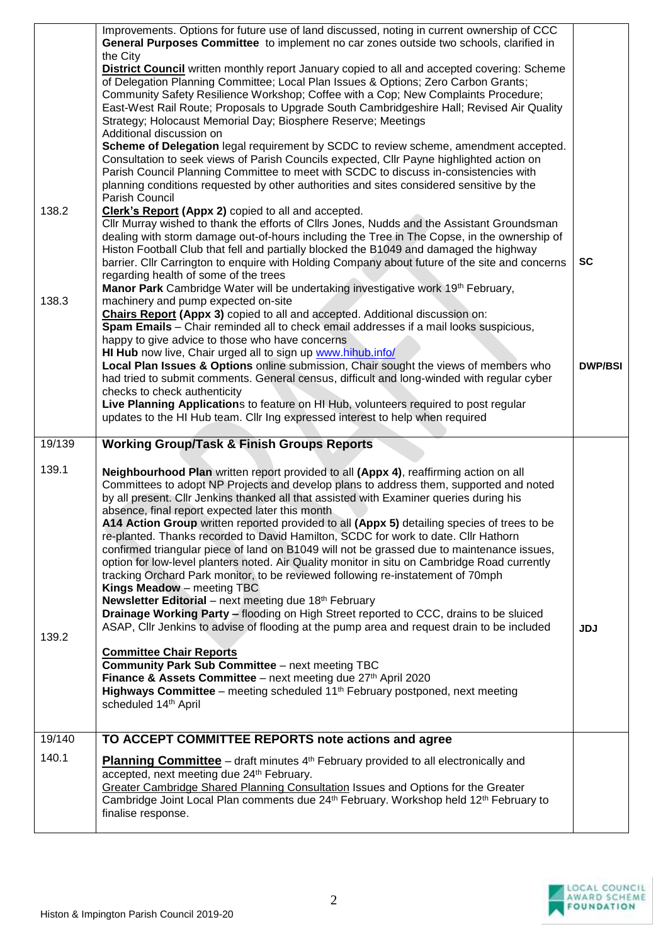|                 | Improvements. Options for future use of land discussed, noting in current ownership of CCC<br>General Purposes Committee to implement no car zones outside two schools, clarified in<br>the City                                                                                                                                                                                                                                                                                                                                                                                                                                                                                                                                                                                                                                                                                                                                                                                                                                                                                                                                                                                                                                                                                                                                                                    |                |
|-----------------|---------------------------------------------------------------------------------------------------------------------------------------------------------------------------------------------------------------------------------------------------------------------------------------------------------------------------------------------------------------------------------------------------------------------------------------------------------------------------------------------------------------------------------------------------------------------------------------------------------------------------------------------------------------------------------------------------------------------------------------------------------------------------------------------------------------------------------------------------------------------------------------------------------------------------------------------------------------------------------------------------------------------------------------------------------------------------------------------------------------------------------------------------------------------------------------------------------------------------------------------------------------------------------------------------------------------------------------------------------------------|----------------|
|                 | <b>District Council</b> written monthly report January copied to all and accepted covering: Scheme<br>of Delegation Planning Committee; Local Plan Issues & Options; Zero Carbon Grants;<br>Community Safety Resilience Workshop; Coffee with a Cop; New Complaints Procedure;<br>East-West Rail Route; Proposals to Upgrade South Cambridgeshire Hall; Revised Air Quality<br>Strategy; Holocaust Memorial Day; Biosphere Reserve; Meetings<br>Additional discussion on                                                                                                                                                                                                                                                                                                                                                                                                                                                                                                                                                                                                                                                                                                                                                                                                                                                                                            |                |
|                 | Scheme of Delegation legal requirement by SCDC to review scheme, amendment accepted.<br>Consultation to seek views of Parish Councils expected, Cllr Payne highlighted action on<br>Parish Council Planning Committee to meet with SCDC to discuss in-consistencies with<br>planning conditions requested by other authorities and sites considered sensitive by the<br>Parish Council                                                                                                                                                                                                                                                                                                                                                                                                                                                                                                                                                                                                                                                                                                                                                                                                                                                                                                                                                                              |                |
| 138.2           | <b>Clerk's Report (Appx 2)</b> copied to all and accepted.<br>Cllr Murray wished to thank the efforts of Cllrs Jones, Nudds and the Assistant Groundsman<br>dealing with storm damage out-of-hours including the Tree in The Copse, in the ownership of<br>Histon Football Club that fell and partially blocked the B1049 and damaged the highway<br>barrier. Cllr Carrington to enquire with Holding Company about future of the site and concerns<br>regarding health of some of the trees<br>Manor Park Cambridge Water will be undertaking investigative work 19th February,                                                                                                                                                                                                                                                                                                                                                                                                                                                                                                                                                                                                                                                                                                                                                                                    | <b>SC</b>      |
| 138.3           | machinery and pump expected on-site<br>Chairs Report (Appx 3) copied to all and accepted. Additional discussion on:<br>Spam Emails - Chair reminded all to check email addresses if a mail looks suspicious,<br>happy to give advice to those who have concerns<br>HI Hub now live, Chair urged all to sign up www.hihub.info/<br>Local Plan Issues & Options online submission, Chair sought the views of members who<br>had tried to submit comments. General census, difficult and long-winded with regular cyber<br>checks to check authenticity<br>Live Planning Applications to feature on HI Hub, volunteers required to post regular<br>updates to the HI Hub team. Cllr Ing expressed interest to help when required                                                                                                                                                                                                                                                                                                                                                                                                                                                                                                                                                                                                                                       | <b>DWP/BSI</b> |
|                 |                                                                                                                                                                                                                                                                                                                                                                                                                                                                                                                                                                                                                                                                                                                                                                                                                                                                                                                                                                                                                                                                                                                                                                                                                                                                                                                                                                     |                |
|                 |                                                                                                                                                                                                                                                                                                                                                                                                                                                                                                                                                                                                                                                                                                                                                                                                                                                                                                                                                                                                                                                                                                                                                                                                                                                                                                                                                                     |                |
| 19/139          | <b>Working Group/Task &amp; Finish Groups Reports</b>                                                                                                                                                                                                                                                                                                                                                                                                                                                                                                                                                                                                                                                                                                                                                                                                                                                                                                                                                                                                                                                                                                                                                                                                                                                                                                               |                |
| 139.1<br>139.2  | Neighbourhood Plan written report provided to all (Appx 4), reaffirming action on all<br>Committees to adopt NP Projects and develop plans to address them, supported and noted<br>by all present. Cllr Jenkins thanked all that assisted with Examiner queries during his<br>absence, final report expected later this month<br>A14 Action Group written reported provided to all (Appx 5) detailing species of trees to be<br>re-planted. Thanks recorded to David Hamilton, SCDC for work to date. Cllr Hathorn<br>confirmed triangular piece of land on B1049 will not be grassed due to maintenance issues,<br>option for low-level planters noted. Air Quality monitor in situ on Cambridge Road currently<br>tracking Orchard Park monitor, to be reviewed following re-instatement of 70mph<br>Kings Meadow - meeting TBC<br>Newsletter Editorial - next meeting due 18th February<br>Drainage Working Party - flooding on High Street reported to CCC, drains to be sluiced<br>ASAP, Cllr Jenkins to advise of flooding at the pump area and request drain to be included<br><b>Committee Chair Reports</b><br><b>Community Park Sub Committee</b> - next meeting TBC<br>Finance & Assets Committee - next meeting due 27th April 2020<br>Highways Committee - meeting scheduled 11 <sup>th</sup> February postponed, next meeting<br>scheduled 14th April | <b>JDJ</b>     |
| 19/140<br>140.1 | TO ACCEPT COMMITTEE REPORTS note actions and agree                                                                                                                                                                                                                                                                                                                                                                                                                                                                                                                                                                                                                                                                                                                                                                                                                                                                                                                                                                                                                                                                                                                                                                                                                                                                                                                  |                |

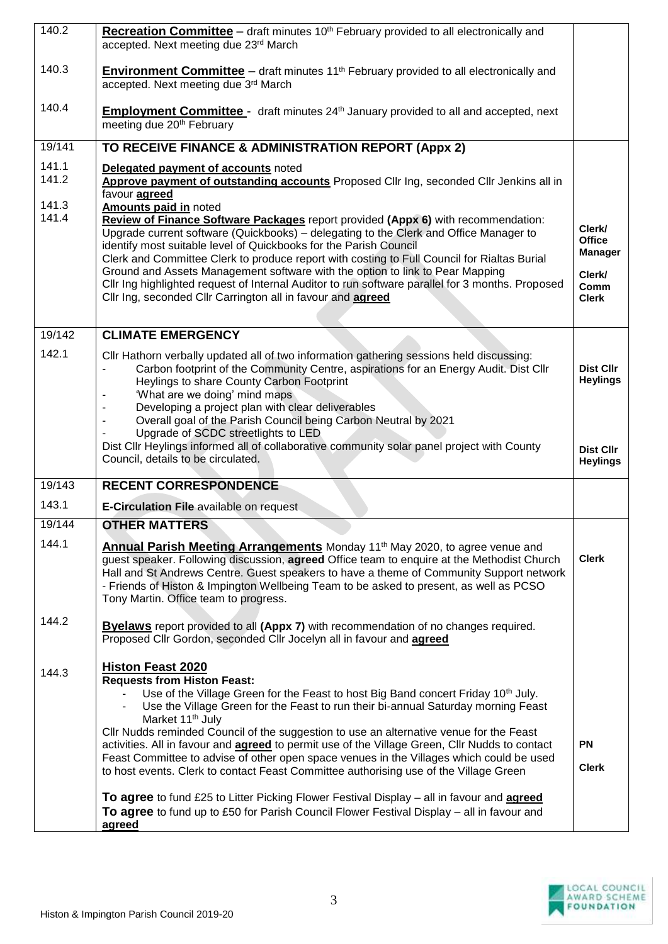| 140.2          | <b>Recreation Committee</b> – draft minutes $10th$ February provided to all electronically and<br>accepted. Next meeting due 23rd March                                                                                                                                                                                                                                                                                                                                                                                                                                                                                                                                |                                                                             |
|----------------|------------------------------------------------------------------------------------------------------------------------------------------------------------------------------------------------------------------------------------------------------------------------------------------------------------------------------------------------------------------------------------------------------------------------------------------------------------------------------------------------------------------------------------------------------------------------------------------------------------------------------------------------------------------------|-----------------------------------------------------------------------------|
| 140.3          | <b>Environment Committee</b> – draft minutes 11 <sup>th</sup> February provided to all electronically and<br>accepted. Next meeting due 3rd March                                                                                                                                                                                                                                                                                                                                                                                                                                                                                                                      |                                                                             |
| 140.4          | <b>Employment Committee</b> - draft minutes 24 <sup>th</sup> January provided to all and accepted, next<br>meeting due 20 <sup>th</sup> February                                                                                                                                                                                                                                                                                                                                                                                                                                                                                                                       |                                                                             |
| 19/141         | TO RECEIVE FINANCE & ADMINISTRATION REPORT (Appx 2)                                                                                                                                                                                                                                                                                                                                                                                                                                                                                                                                                                                                                    |                                                                             |
| 141.1<br>141.2 | Delegated payment of accounts noted<br>Approve payment of outstanding accounts Proposed Cllr Ing, seconded Cllr Jenkins all in<br>favour agreed                                                                                                                                                                                                                                                                                                                                                                                                                                                                                                                        |                                                                             |
| 141.3<br>141.4 | Amounts paid in noted<br>Review of Finance Software Packages report provided (Appx 6) with recommendation:<br>Upgrade current software (Quickbooks) - delegating to the Clerk and Office Manager to<br>identify most suitable level of Quickbooks for the Parish Council<br>Clerk and Committee Clerk to produce report with costing to Full Council for Rialtas Burial<br>Ground and Assets Management software with the option to link to Pear Mapping<br>Cllr Ing highlighted request of Internal Auditor to run software parallel for 3 months. Proposed<br>Cllr Ing, seconded Cllr Carrington all in favour and agreed                                            | Clerk/<br><b>Office</b><br><b>Manager</b><br>Clerk/<br>Comm<br><b>Clerk</b> |
| 19/142         | <b>CLIMATE EMERGENCY</b>                                                                                                                                                                                                                                                                                                                                                                                                                                                                                                                                                                                                                                               |                                                                             |
| 142.1          | Cllr Hathorn verbally updated all of two information gathering sessions held discussing:<br>Carbon footprint of the Community Centre, aspirations for an Energy Audit. Dist Cllr<br>Heylings to share County Carbon Footprint<br>'What are we doing' mind maps<br>Developing a project plan with clear deliverables<br>Overall goal of the Parish Council being Carbon Neutral by 2021<br>Upgrade of SCDC streetlights to LED                                                                                                                                                                                                                                          | <b>Dist Cllr</b><br><b>Heylings</b>                                         |
|                | Dist Cllr Heylings informed all of collaborative community solar panel project with County<br>Council, details to be circulated.                                                                                                                                                                                                                                                                                                                                                                                                                                                                                                                                       | Dist Cllr<br><b>Heylings</b>                                                |
| 19/143         | <b>RECENT CORRESPONDENCE</b>                                                                                                                                                                                                                                                                                                                                                                                                                                                                                                                                                                                                                                           |                                                                             |
| 143.1          | <b>E-Circulation File available on request</b>                                                                                                                                                                                                                                                                                                                                                                                                                                                                                                                                                                                                                         |                                                                             |
| 19/144         | <b>OTHER MATTERS</b>                                                                                                                                                                                                                                                                                                                                                                                                                                                                                                                                                                                                                                                   |                                                                             |
| 144.1          | Annual Parish Meeting Arrangements Monday 11 <sup>th</sup> May 2020, to agree venue and<br>guest speaker. Following discussion, agreed Office team to enquire at the Methodist Church<br>Hall and St Andrews Centre. Guest speakers to have a theme of Community Support network<br>- Friends of Histon & Impington Wellbeing Team to be asked to present, as well as PCSO<br>Tony Martin. Office team to progress.                                                                                                                                                                                                                                                    | <b>Clerk</b>                                                                |
| 144.2          | <b>Byelaws</b> report provided to all (Appx 7) with recommendation of no changes required.<br>Proposed Cllr Gordon, seconded Cllr Jocelyn all in favour and agreed                                                                                                                                                                                                                                                                                                                                                                                                                                                                                                     |                                                                             |
| 144.3          | <b>Histon Feast 2020</b><br><b>Requests from Histon Feast:</b><br>Use of the Village Green for the Feast to host Big Band concert Friday 10 <sup>th</sup> July.<br>Use the Village Green for the Feast to run their bi-annual Saturday morning Feast<br>Market 11 <sup>th</sup> July<br>Cllr Nudds reminded Council of the suggestion to use an alternative venue for the Feast<br>activities. All in favour and agreed to permit use of the Village Green, Cllr Nudds to contact<br>Feast Committee to advise of other open space venues in the Villages which could be used<br>to host events. Clerk to contact Feast Committee authorising use of the Village Green | <b>PN</b><br><b>Clerk</b>                                                   |
|                | To agree to fund £25 to Litter Picking Flower Festival Display - all in favour and agreed<br>To agree to fund up to £50 for Parish Council Flower Festival Display - all in favour and<br>agreed                                                                                                                                                                                                                                                                                                                                                                                                                                                                       |                                                                             |